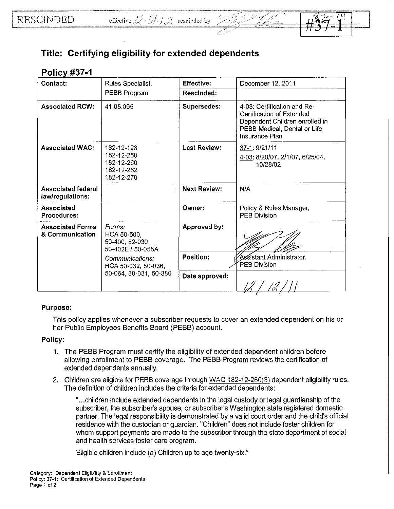# **Title: Certifying eligibility for extended dependents**

## **<sup>P</sup>OICV r #37** -**<sup>1</sup>**

| Contact:                                      | Rules Specialist,                                                  | <b>Effective:</b>   | December 12, 2011                                                                                                                            |
|-----------------------------------------------|--------------------------------------------------------------------|---------------------|----------------------------------------------------------------------------------------------------------------------------------------------|
|                                               | PEBB Program                                                       | <b>Rescinded:</b>   |                                                                                                                                              |
| <b>Associated RCW:</b>                        | 41.05.095                                                          | Supersedes:         | 4-03: Certification and Re-<br>Certification of Extended<br>Dependent Children enrolled in<br>PEBB Medical, Dental or Life<br>Insurance Plan |
| <b>Associated WAC:</b>                        | 182-12-128<br>182-12-250<br>182-12-260<br>182-12-262<br>182-12-270 | <b>Last Review:</b> | 37-1: 9/21/11<br>4-03: 8/20/07, 2/1/07, 6/25/04,<br>10/28/02                                                                                 |
| <b>Associated federal</b><br>law/regulations: |                                                                    | <b>Next Review:</b> | N/A                                                                                                                                          |
| Associated<br>Procedures:                     |                                                                    | Owner:              | Policy & Rules Manager,<br>PEB Division                                                                                                      |
| <b>Associated Forms</b><br>& Communication    | Forms:<br>HCA 50-500,<br>50-400, 52-030<br>50-402E / 50-055A       | Approved by:        |                                                                                                                                              |
|                                               | Communications:<br>HCA 50-032, 50-036,<br>50-064, 50-031, 50-380   | Position:           | Assistant Administrator,<br>PEB Division                                                                                                     |
|                                               |                                                                    | Date approved:      |                                                                                                                                              |

## Purpose:

This policy applies whenever a subscriber requests to cover an extended dependent on his or her Public Employees Benefits Board (PEBB) account.

## Policy:

- 1. The PEBB Program must certify the eligibility of extended dependent children before allowing enrollment to PEBB coverage. The PEBB Program reviews the certification of extended dependents annually.
- 2. Children are eligible for PEBB coverage through WAC 182-12-260(3) dependent eligibility rules. The definition of children includes the criteria for extended dependents:

" ... children include extended dependents in the legal custody or legal guardianship of the subscriber, the subscriber's spouse, or subscriber's Washington state registered domestic partner. The legal responsibility is demonstrated by a valid court order and the child's official residence with the custodian or guardian. "Children" does not include foster children for whom support payments are made to the subscriber through the state department of social and health services foster care program.

Eligible children include (a) Children up to age twenty-six."